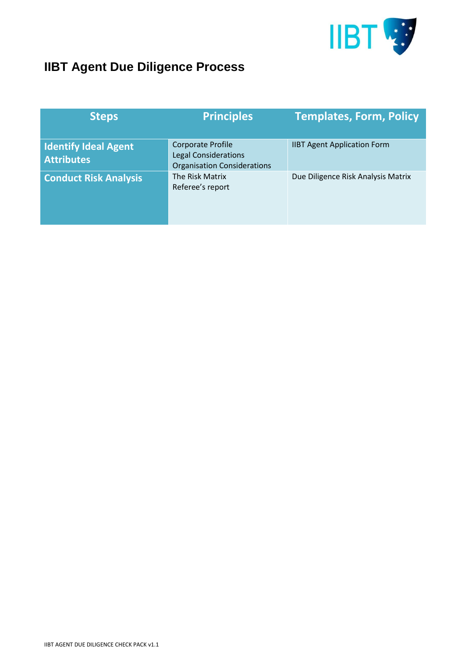

## **IIBT Agent Due Diligence Process**

| <b>Steps</b>                                     | <b>Principles</b>                                                                             | <b>Templates, Form, Policy</b>     |
|--------------------------------------------------|-----------------------------------------------------------------------------------------------|------------------------------------|
| <b>Identify Ideal Agent</b><br><b>Attributes</b> | <b>Corporate Profile</b><br><b>Legal Considerations</b><br><b>Organisation Considerations</b> | <b>IIBT Agent Application Form</b> |
| <b>Conduct Risk Analysis</b>                     | The Risk Matrix<br>Referee's report                                                           | Due Diligence Risk Analysis Matrix |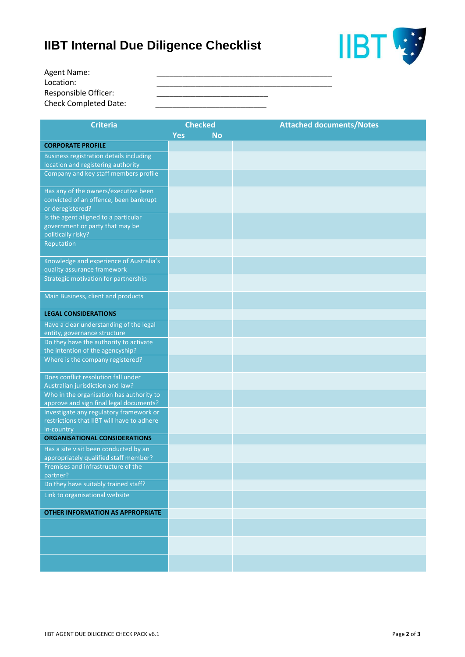## **IIBT Internal Due Diligence Checklist**



| Agent Name:                  |  |
|------------------------------|--|
| Location:                    |  |
| <b>Responsible Officer:</b>  |  |
| <b>Check Completed Date:</b> |  |

| <b>Criteria</b>                                                                     | <b>Checked</b>          | <b>Attached documents/Notes</b> |
|-------------------------------------------------------------------------------------|-------------------------|---------------------------------|
|                                                                                     | <b>Yes</b><br><b>No</b> |                                 |
| <b>CORPORATE PROFILE</b>                                                            |                         |                                 |
| <b>Business registration details including</b>                                      |                         |                                 |
| location and registering authority                                                  |                         |                                 |
| Company and key staff members profile                                               |                         |                                 |
| Has any of the owners/executive been                                                |                         |                                 |
| convicted of an offence, been bankrupt                                              |                         |                                 |
| or deregistered?                                                                    |                         |                                 |
| Is the agent aligned to a particular                                                |                         |                                 |
| government or party that may be<br>politically risky?                               |                         |                                 |
| Reputation                                                                          |                         |                                 |
|                                                                                     |                         |                                 |
| Knowledge and experience of Australia's                                             |                         |                                 |
| quality assurance framework                                                         |                         |                                 |
| Strategic motivation for partnership                                                |                         |                                 |
| Main Business, client and products                                                  |                         |                                 |
| <b>LEGAL CONSIDERATIONS</b>                                                         |                         |                                 |
| Have a clear understanding of the legal                                             |                         |                                 |
| entity, governance structure                                                        |                         |                                 |
| Do they have the authority to activate                                              |                         |                                 |
| the intention of the agencyship?                                                    |                         |                                 |
| Where is the company registered?                                                    |                         |                                 |
| Does conflict resolution fall under                                                 |                         |                                 |
| Australian jurisdiction and law?                                                    |                         |                                 |
| Who in the organisation has authority to<br>approve and sign final legal documents? |                         |                                 |
| Investigate any regulatory framework or                                             |                         |                                 |
| restrictions that IIBT will have to adhere                                          |                         |                                 |
| in-country                                                                          |                         |                                 |
| <b>ORGANISATIONAL CONSIDERATIONS</b>                                                |                         |                                 |
| Has a site visit been conducted by an                                               |                         |                                 |
| appropriately qualified staff member?                                               |                         |                                 |
| Premises and infrastructure of the<br>partner?                                      |                         |                                 |
| Do they have suitably trained staff?                                                |                         |                                 |
| Link to organisational website                                                      |                         |                                 |
| <b>OTHER INFORMATION AS APPROPRIATE</b>                                             |                         |                                 |
|                                                                                     |                         |                                 |
|                                                                                     |                         |                                 |
|                                                                                     |                         |                                 |
|                                                                                     |                         |                                 |